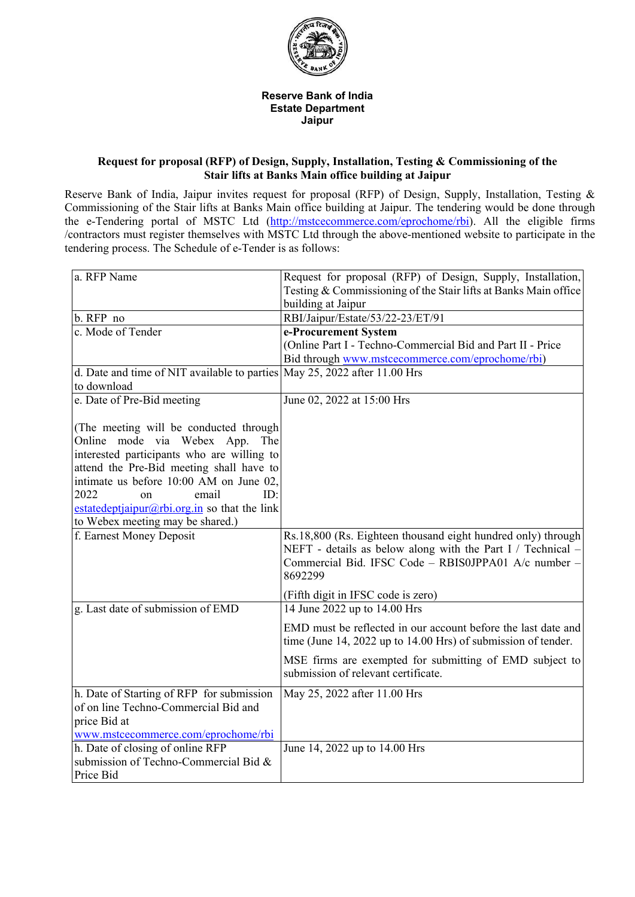

## **Reserve Bank of India Estate Department Jaipur**

## **Request for proposal (RFP) of Design, Supply, Installation, Testing & Commissioning of the Stair lifts at Banks Main office building at Jaipur**

Reserve Bank of India, Jaipur invites request for proposal (RFP) of Design, Supply, Installation, Testing & Commissioning of the Stair lifts at Banks Main office building at Jaipur. The tendering would be done through the e-Tendering portal of MSTC Ltd [\(http://mstcecommerce.com/eprochome/rbi\)](https://www.mstcecommerce.com/eprochome/rbi). All the eligible firms /contractors must register themselves with MSTC Ltd through the above-mentioned website to participate in the tendering process. The Schedule of e-Tender is as follows:

| a. RFP Name                                                               | Request for proposal (RFP) of Design, Supply, Installation,                                                                    |
|---------------------------------------------------------------------------|--------------------------------------------------------------------------------------------------------------------------------|
|                                                                           | Testing & Commissioning of the Stair lifts at Banks Main office                                                                |
|                                                                           | building at Jaipur                                                                                                             |
| b. RFP no                                                                 | RBI/Jaipur/Estate/53/22-23/ET/91                                                                                               |
| c. Mode of Tender                                                         | e-Procurement System                                                                                                           |
|                                                                           | (Online Part I - Techno-Commercial Bid and Part II - Price                                                                     |
|                                                                           | Bid through www.mstcecommerce.com/eprochome/rbi)                                                                               |
| d. Date and time of NIT available to parties May 25, 2022 after 11.00 Hrs |                                                                                                                                |
| to download                                                               |                                                                                                                                |
| e. Date of Pre-Bid meeting                                                | June 02, 2022 at 15:00 Hrs                                                                                                     |
|                                                                           |                                                                                                                                |
| (The meeting will be conducted through                                    |                                                                                                                                |
| Online mode via Webex App.<br>The                                         |                                                                                                                                |
| interested participants who are willing to                                |                                                                                                                                |
| attend the Pre-Bid meeting shall have to                                  |                                                                                                                                |
| intimate us before 10:00 AM on June 02,                                   |                                                                                                                                |
| 2022<br>email<br>ID:<br><sub>on</sub>                                     |                                                                                                                                |
| estatedeptjaipur@rbi.org.in so that the link                              |                                                                                                                                |
| to Webex meeting may be shared.)                                          |                                                                                                                                |
| f. Earnest Money Deposit                                                  | Rs.18,800 (Rs. Eighteen thousand eight hundred only) through<br>NEFT - details as below along with the Part I / Technical $-$  |
|                                                                           | Commercial Bid. IFSC Code - RBIS0JPPA01 A/c number -                                                                           |
|                                                                           | 8692299                                                                                                                        |
|                                                                           | (Fifth digit in IFSC code is zero)                                                                                             |
| g. Last date of submission of EMD                                         | 14 June 2022 up to 14.00 Hrs                                                                                                   |
|                                                                           |                                                                                                                                |
|                                                                           | EMD must be reflected in our account before the last date and<br>time (June 14, 2022 up to 14.00 Hrs) of submission of tender. |
|                                                                           | MSE firms are exempted for submitting of EMD subject to<br>submission of relevant certificate.                                 |
|                                                                           |                                                                                                                                |
| h. Date of Starting of RFP for submission                                 | May 25, 2022 after 11.00 Hrs                                                                                                   |
| of on line Techno-Commercial Bid and                                      |                                                                                                                                |
| price Bid at                                                              |                                                                                                                                |
| www.msteecommerce.com/eprochome/rbi                                       |                                                                                                                                |
| h. Date of closing of online RFP                                          | June 14, 2022 up to 14.00 Hrs                                                                                                  |
| submission of Techno-Commercial Bid &                                     |                                                                                                                                |
| Price Bid                                                                 |                                                                                                                                |